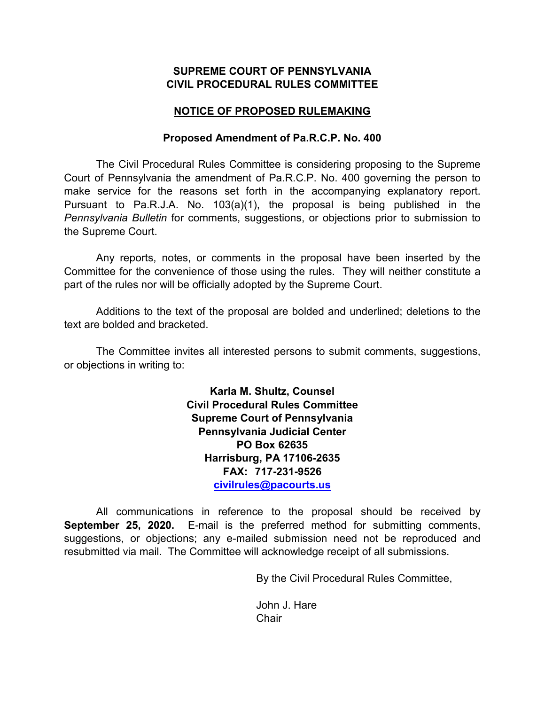## **SUPREME COURT OF PENNSYLVANIA CIVIL PROCEDURAL RULES COMMITTEE**

# **NOTICE OF PROPOSED RULEMAKING**

### **Proposed Amendment of Pa.R.C.P. No. 400**

The Civil Procedural Rules Committee is considering proposing to the Supreme Court of Pennsylvania the amendment of Pa.R.C.P. No. 400 governing the person to make service for the reasons set forth in the accompanying explanatory report. Pursuant to Pa.R.J.A. No. 103(a)(1), the proposal is being published in the *Pennsylvania Bulletin* for comments, suggestions, or objections prior to submission to the Supreme Court.

Any reports, notes, or comments in the proposal have been inserted by the Committee for the convenience of those using the rules. They will neither constitute a part of the rules nor will be officially adopted by the Supreme Court.

Additions to the text of the proposal are bolded and underlined; deletions to the text are bolded and bracketed.

The Committee invites all interested persons to submit comments, suggestions, or objections in writing to:

> **Karla M. Shultz, Counsel Civil Procedural Rules Committee Supreme Court of Pennsylvania Pennsylvania Judicial Center PO Box 62635 Harrisburg, PA 17106-2635 FAX: 717-231-9526 [civilrules@pacourts.us](mailto:civilrules@pacourts.us)**

All communications in reference to the proposal should be received by **September 25, 2020.** E-mail is the preferred method for submitting comments, suggestions, or objections; any e-mailed submission need not be reproduced and resubmitted via mail. The Committee will acknowledge receipt of all submissions.

By the Civil Procedural Rules Committee,

John J. Hare **Chair**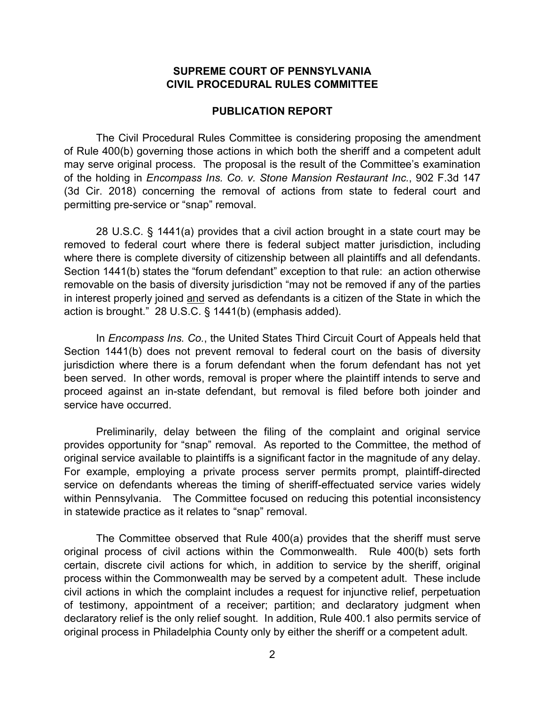### **SUPREME COURT OF PENNSYLVANIA CIVIL PROCEDURAL RULES COMMITTEE**

#### **PUBLICATION REPORT**

The Civil Procedural Rules Committee is considering proposing the amendment of Rule 400(b) governing those actions in which both the sheriff and a competent adult may serve original process. The proposal is the result of the Committee's examination of the holding in *Encompass Ins. Co. v. Stone Mansion Restaurant Inc.*, 902 F.3d 147 (3d Cir. 2018) concerning the removal of actions from state to federal court and permitting pre-service or "snap" removal.

28 U.S.C. § 1441(a) provides that a civil action brought in a state court may be removed to federal court where there is federal subject matter jurisdiction, including where there is complete diversity of citizenship between all plaintiffs and all defendants. Section 1441(b) states the "forum defendant" exception to that rule: an action otherwise removable on the basis of diversity jurisdiction "may not be removed if any of the parties in interest properly joined and served as defendants is a citizen of the State in which the action is brought." 28 U.S.C. § 1441(b) (emphasis added).

In *Encompass Ins. Co.*, the United States Third Circuit Court of Appeals held that Section 1441(b) does not prevent removal to federal court on the basis of diversity jurisdiction where there is a forum defendant when the forum defendant has not yet been served. In other words, removal is proper where the plaintiff intends to serve and proceed against an in-state defendant, but removal is filed before both joinder and service have occurred.

Preliminarily, delay between the filing of the complaint and original service provides opportunity for "snap" removal. As reported to the Committee, the method of original service available to plaintiffs is a significant factor in the magnitude of any delay. For example, employing a private process server permits prompt, plaintiff-directed service on defendants whereas the timing of sheriff-effectuated service varies widely within Pennsylvania. The Committee focused on reducing this potential inconsistency in statewide practice as it relates to "snap" removal.

The Committee observed that Rule 400(a) provides that the sheriff must serve original process of civil actions within the Commonwealth. Rule 400(b) sets forth certain, discrete civil actions for which, in addition to service by the sheriff, original process within the Commonwealth may be served by a competent adult. These include civil actions in which the complaint includes a request for injunctive relief, perpetuation of testimony, appointment of a receiver; partition; and declaratory judgment when declaratory relief is the only relief sought. In addition, Rule 400.1 also permits service of original process in Philadelphia County only by either the sheriff or a competent adult.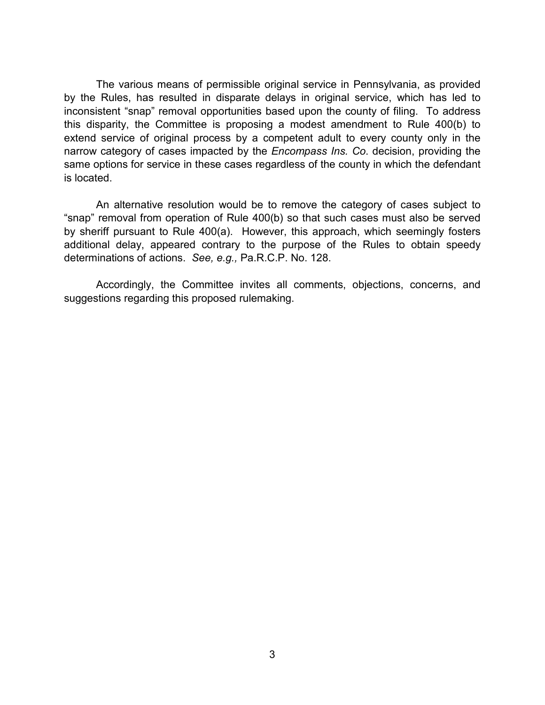The various means of permissible original service in Pennsylvania, as provided by the Rules, has resulted in disparate delays in original service, which has led to inconsistent "snap" removal opportunities based upon the county of filing. To address this disparity, the Committee is proposing a modest amendment to Rule 400(b) to extend service of original process by a competent adult to every county only in the narrow category of cases impacted by the *Encompass Ins. Co*. decision, providing the same options for service in these cases regardless of the county in which the defendant is located.

An alternative resolution would be to remove the category of cases subject to "snap" removal from operation of Rule 400(b) so that such cases must also be served by sheriff pursuant to Rule 400(a). However, this approach, which seemingly fosters additional delay, appeared contrary to the purpose of the Rules to obtain speedy determinations of actions. *See, e.g.,* Pa.R.C.P. No. 128.

Accordingly, the Committee invites all comments, objections, concerns, and suggestions regarding this proposed rulemaking.